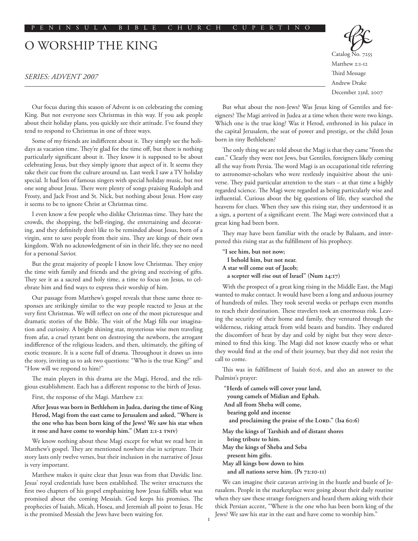## O WORSHIP THE KING

## *Series: Advent 2007*

Catalog No. 725 Matthew 2:1-12 Third Message Andrew Drake December 23rd, 2007

Our focus during this season of Advent is on celebrating the coming King. But not everyone sees Christmas in this way. If you ask people about their holiday plans, you quickly see their attitude. I've found they tend to respond to Christmas in one of three ways.

Some of my friends are indifferent about it. They simply see the holidays as vacation time. They're glad for the time off, but there is nothing particularly significant about it. They know it is supposed to be about celebrating Jesus, but they simply ignore that aspect of it. It seems they take their cue from the culture around us. Last week I saw a TV holiday special. It had lots of famous singers with special holiday music, but not one song about Jesus. There were plenty of songs praising Rudolph and Frosty, and Jack Frost and St. Nick, but nothing about Jesus. How easy it seems to be to ignore Christ at Christmas time.

I even know a few people who dislike Christmas time. They hate the crowds, the shopping, the bell-ringing, the entertaining and decorating, and they definitely don't like to be reminded about Jesus, born of a virgin, sent to save people from their sins. They are kings of their own kingdom. With no acknowledgment of sin in their life, they see no need for a personal Savior.

But the great majority of people I know love Christmas. They enjoy the time with family and friends and the giving and receiving of gifts. They see it as a sacred and holy time, a time to focus on Jesus, to celebrate him and find ways to express their worship of him.

Our passage from Matthew's gospel reveals that these same three responses are strikingly similar to the way people reacted to Jesus at the very first Christmas. We will reflect on one of the most picturesque and dramatic stories of the Bible. The visit of the Magi fills our imagination and curiosity. A bright shining star, mysterious wise men traveling from afar, a cruel tyrant bent on destroying the newborn, the arrogant indifference of the religious leaders, and then, ultimately, the gifting of exotic treasure. It is a scene full of drama. Throughout it draws us into the story, inviting us to ask two questions: "Who is the true King?" and "How will we respond to him?"

The main players in this drama are the Magi, Herod, and the religious establishment. Each has a different response to the birth of Jesus.

First, the response of the Magi. Matthew 2:1:

**After Jesus was born in Bethlehem in Judea, during the time of King Herod, Magi from the east came to Jerusalem and asked, "Where is the one who has been born king of the Jews? We saw his star when it rose and have come to worship him." (Matt 2:1-2 TNIV)**

We know nothing about these Magi except for what we read here in Matthew's gospel. They are mentioned nowhere else in scripture. Their story lasts only twelve verses, but their inclusion in the narrative of Jesus is very important.

Matthew makes it quite clear that Jesus was from that Davidic line. Jesus' royal credentials have been established. The writer structures the first two chapters of his gospel emphasizing how Jesus fulfills what was promised about the coming Messiah. God keeps his promises. The prophecies of Isaiah, Micah, Hosea, and Jeremiah all point to Jesus. He is the promised Messiah the Jews have been waiting for.

But what about the non-Jews? Was Jesus king of Gentiles and foreigners? The Magi arrived in Judea at a time when there were two kings. Which one is the true king? Was it Herod, enthroned in his palace in the capital Jerusalem, the seat of power and prestige, or the child Jesus born in tiny Bethlehem?

The only thing we are told about the Magi is that they came "from the east." Clearly they were not Jews, but Gentiles, foreigners likely coming all the way from Persia. The word Magi is an occupational title referring to astronomer-scholars who were restlessly inquisitive about the universe. They paid particular attention to the stars – at that time a highly regarded science. The Magi were regarded as being particularly wise and influential. Curious about the big questions of life, they searched the heavens for clues. When they saw this rising star, they understood it as a sign, a portent of a significant event. The Magi were convinced that a great king had been born.

They may have been familiar with the oracle by Balaam, and interpreted this rising star as the fulfillment of his prophecy.

**"I see him, but not now; I behold him, but not near. A star will come out of Jacob; a scepter will rise out of Israel" (Num 24:17)**

With the prospect of a great king rising in the Middle East, the Magi wanted to make contact. It would have been a long and arduous journey of hundreds of miles. They took several weeks or perhaps even months to reach their destination. These travelers took an enormous risk. Leaving the security of their home and family, they ventured through the wilderness, risking attack from wild beasts and bandits. They endured the discomfort of heat by day and cold by night but they were determined to find this king. The Magi did not know exactly who or what they would find at the end of their journey, but they did not resist the call to come.

This was in fulfillment of Isaiah 60:6, and also an answer to the Psalmist's prayer:

 **"Herds of camels will cover your land, young camels of Midian and Ephah. And all from Sheba will come, bearing gold and incense** and proclaiming the praise of the Lord." (Isa 60:6) **May the kings of Tarshish and of distant shores bring tribute to him. May the kings of Sheba and Seba present him gifts. May all kings bow down to him and all nations serve him. (Ps 72:10-11)**

We can imagine their caravan arriving in the hustle and bustle of Jerusalem. People in the marketplace were going about their daily routine when they saw these strange foreigners and heard them asking with their thick Persian accent, "Where is the one who has been born king of the Jews? We saw his star in the east and have come to worship him."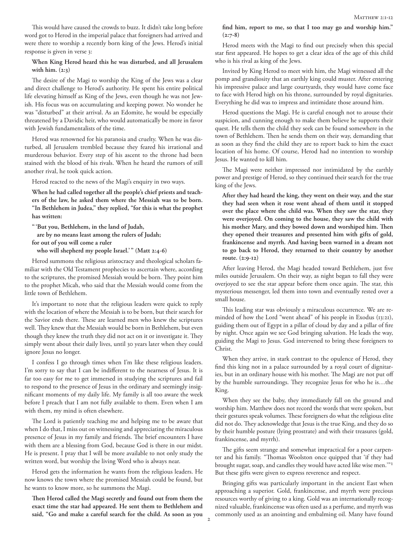This would have caused the crowds to buzz. It didn't take long before word got to Herod in the imperial palace that foreigners had arrived and were there to worship a recently born king of the Jews. Herod's initial response is given in verse 3:

## **When King Herod heard this he was disturbed, and all Jerusalem with him. (2:3)**

The desire of the Magi to worship the King of the Jews was a clear and direct challenge to Herod's authority. He spent his entire political life elevating himself as King of the Jews, even though he was not Jewish. His focus was on accumulating and keeping power. No wonder he was "disturbed" at their arrival. As an Edomite, he would be especially threatened by a Davidic heir, who would automatically be more in favor with Jewish fundamentalists of the time.

Herod was renowned for his paranoia and cruelty. When he was disturbed, all Jerusalem trembled because they feared his irrational and murderous behavior. Every step of his ascent to the throne had been stained with the blood of his rivals. When he heard the rumors of still another rival, he took quick action.

Herod reacted to the news of the Magi's enquiry in two ways.

**When he had called together all the people's chief priests and teachers of the law, he asked them where the Messiah was to be born. "In Bethlehem in Judea," they replied, "for this is what the prophet has written:**

**" 'But you, Bethlehem, in the land of Judah, are by no means least among the rulers of Judah; for out of you will come a ruler**

**who will shepherd my people Israel.' " (Matt 2:4-6)**

Herod summons the religious aristocracy and theological scholars familiar with the Old Testament prophecies to ascertain where, according to the scriptures, the promised Messiah would be born. They point him to the prophet Micah, who said that the Messiah would come from the little town of Bethlehem.

It's important to note that the religious leaders were quick to reply with the location of where the Messiah is to be born, but their search for the Savior ends there. These are learned men who knew the scriptures well. They knew that the Messiah would be born in Bethlehem, but even though they knew the truth they did not act on it or investigate it. They simply went about their daily lives, until 30 years later when they could ignore Jesus no longer.

I confess I go through times when I'm like these religious leaders. I'm sorry to say that I can be indifferent to the nearness of Jesus. It is far too easy for me to get immersed in studying the scriptures and fail to respond to the presence of Jesus in the ordinary and seemingly insignificant moments of my daily life. My family is all too aware the week before I preach that I am not fully available to them. Even when I am with them, my mind is often elsewhere.

The Lord is patiently teaching me and helping me to be aware that when I do that, I miss out on witnessing and appreciating the miraculous presence of Jesus in my family and friends. The brief encounters I have with them are a blessing from God, because God is there in our midst. He is present. I pray that I will be more available to not only study the written word, but worship the living Word who is always near.

Herod gets the information he wants from the religious leaders. He now knows the town where the promised Messiah could be found, but he wants to know more, so he summons the Magi.

**Then Herod called the Magi secretly and found out from them the exact time the star had appeared. He sent them to Bethlehem and said, "Go and make a careful search for the child. As soon as you**  **find him, report to me, so that I too may go and worship him." (2:7-8)**

Herod meets with the Magi to find out precisely when this special star first appeared. He hopes to get a clear idea of the age of this child who is his rival as king of the Jews.

Invited by King Herod to meet with him, the Magi witnessed all the pomp and grandiosity that an earthly king could muster. After entering his impressive palace and large courtyards, they would have come face to face with Herod high on his throne, surrounded by royal dignitaries. Everything he did was to impress and intimidate those around him.

Herod questions the Magi. He is careful enough not to arouse their suspicion, and cunning enough to make them believe he supports their quest. He tells them the child they seek can be found somewhere in the town of Bethlehem. Then he sends them on their way, demanding that as soon as they find the child they are to report back to him the exact location of his home. Of course, Herod had no intention to worship Jesus. He wanted to kill him.

The Magi were neither impressed nor intimidated by the earthly power and prestige of Herod, so they continued their search for the true king of the Jews.

**After they had heard the king, they went on their way, and the star they had seen when it rose went ahead of them until it stopped over the place where the child was. When they saw the star, they were overjoyed. On coming to the house, they saw the child with his mother Mary, and they bowed down and worshiped him. Then they opened their treasures and presented him with gifts of gold, frankincense and myrrh. And having been warned in a dream not to go back to Herod, they returned to their country by another route. (2:9-12)**

After leaving Herod, the Magi headed toward Bethlehem, just five miles outside Jerusalem. On their way, as night began to fall they were overjoyed to see the star appear before them once again. The star, this mysterious messenger, led them into town and eventually rested over a small house.

This leading star was obviously a miraculous occurrence. We are reminded of how the Lord "went ahead" of his people in Exodus (13:21), guiding them out of Egypt in a pillar of cloud by day and a pillar of fire by night. Once again we see God bringing salvation. He leads the way, guiding the Magi to Jesus. God intervened to bring these foreigners to Christ.

When they arrive, in stark contrast to the opulence of Herod, they find this king not in a palace surrounded by a royal court of dignitaries, but in an ordinary house with his mother. The Magi are not put off by the humble surroundings. They recognize Jesus for who he is…the King.

When they see the baby, they immediately fall on the ground and worship him. Matthew does not record the words that were spoken, but their gestures speak volumes. These foreigners do what the religious elite did not do. They acknowledge that Jesus is the true King, and they do so by their humble posture (lying prostrate) and with their treasures (gold, frankincense, and myrrh).

The gifts seem strange and somewhat impractical for a poor carpenter and his family. "Thomas Woolston once quipped that 'if they had brought sugar, soap, and candles they would have acted like wise men.'"1 But these gifts were given to express reverence and respect.

Bringing gifts was particularly important in the ancient East when approaching a superior. Gold, frankincense, and myrrh were precious resources worthy of giving to a king. Gold was an internationally recognized valuable, frankincense was often used as a perfume, and myrrh was commonly used as an anointing and embalming oil. Many have found